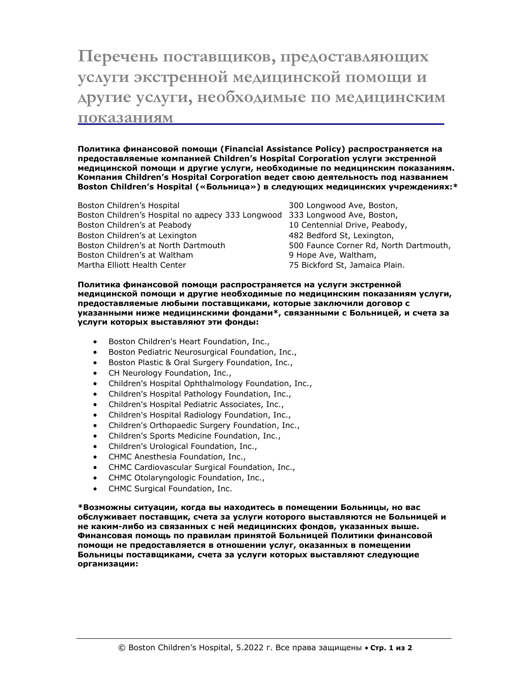## **Перечень поставщиков, предоставляющих услуги экстренной медицинской помощи и другие услуги, необходимые по медицинским показаниям**

**Политика финансовой помощи (Financial Assistance Policy) распространяется на предоставляемые компанией Children's Hospital Corporation услуги экстренной медицинской помощи и другие услуги, необходимые по медицинским показаниям. Компания Children's Hospital Corporation ведет свою деятельность под названием Boston Children's Hospital («Больница») в следующих медицинских учреждениях:\***

Boston Children's Hospital 300 Longwood Ave, Boston, Boston Children's Hospital по адресу 333 Longwood 333 Longwood Ave, Boston, Boston Children's at Peabody 10 Centennial Drive, Peabody, Boston Children's at Lexington 1997 1898 482 Bedford St, Lexington, Boston Children's at North Dartmouth 500 Faunce Corner Rd, North Dartmouth, Boston Children's at Waltham 9 Hope Ave, Waltham, Martha Elliott Health Center 1988 1999 1999 75 Bickford St, Jamaica Plain.

**Политика финансовой помощи распространяется на услуги экстренной медицинской помощи и другие необходимые по медицинским показаниям услуги, предоставляемые любыми поставщиками, которые заключили договор с указанными ниже медицинскими фондами\*, связанными с Больницей, и счета за услуги которых выставляют эти фонды:**

- Boston Children's Heart Foundation, Inc.,
- **•** Boston Pediatric Neurosurgical Foundation, Inc.,
- **Boston Plastic & Oral Surgery Foundation, Inc.,**
- CH Neurology Foundation, Inc.,
- Children's Hospital Ophthalmology Foundation, Inc.,
- Children's Hospital Pathology Foundation, Inc.,
- Children's Hospital Pediatric Associates, Inc.,
- Children's Hospital Radiology Foundation, Inc.,
- Children's Orthopaedic Surgery Foundation, Inc.,
- Children's Sports Medicine Foundation, Inc.,
- Children's Urological Foundation, Inc.,
- CHMC Anesthesia Foundation, Inc.,
- CHMC Cardiovascular Surgical Foundation, Inc.,
- CHMC Otolaryngologic Foundation, Inc.,
- CHMC Surgical Foundation, Inc.

**\*Возможны ситуации, когда вы находитесь в помещении Больницы, но вас обслуживает поставщик, счета за услуги которого выставляются не Больницей и не каким-либо из связанных с ней медицинских фондов, указанных выше. Финансовая помощь по правилам принятой Больницей Политики финансовой помощи не предоставляется в отношении услуг, оказанных в помещении Больницы поставщиками, счета за услуги которых выставляют следующие организации:**